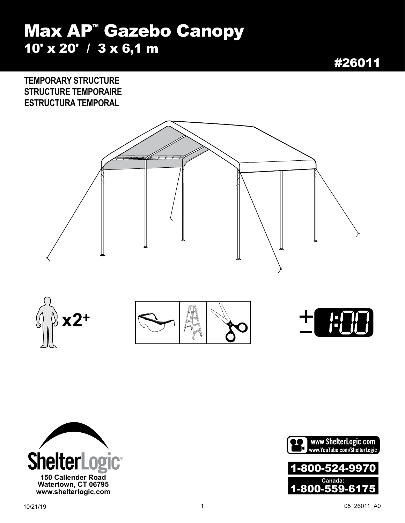## Max AP™ Gazebo Canopy 10' x 20' / 3 x 6,1 m

#26011

**TEMPORARY STRUCTURE STRUCTURE TEMPORAIRE ESTRUCTURA TEMPORAL**







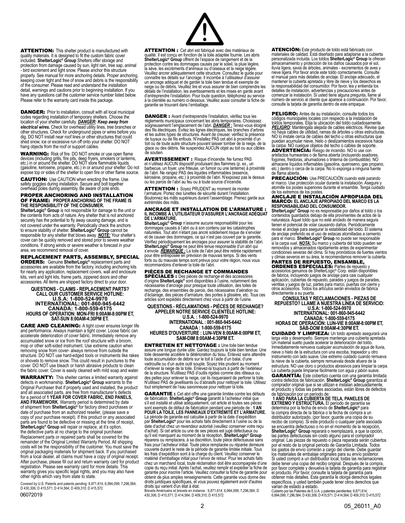**ATTENTION:** This shelter product is manufactured with quality materials. It is designed to fit the custom fabric cover included. **ShelterLogic® Group** Shelters offer storage and protection from damage caused by sun, light rain, tree sap, animal<br>- bird excrement and light snow. Please anchor this structure<br>properly. See manual for more anchoring details. Proper anchoring,<br>keeping cover tight and fr of the consumer. Please read and understand the installation detail, warnings and cautions prior to beginning installation. If you have any questions call the customer service number listed below. Please refer to the warranty card inside this package.

DANGER: Prior to installation, consult with all local municipal codes regarding installation of temporary shelters. Choose the location of your shelter carefully. *DANGER: Keep away from electrical wires.* Check for overhead utility lines, tree branches or other structures. Check for underground pipes or wires before you dig. DO NOT install near roof lines or other structures that could shed snow, ice or excessive run off onto your shelter. DO NOT hang objects from the roof or support cables.

**WARNING:** Risk of fire. DO NOT smoke or use open flame<br>devices (including grills, fire pits, deep fryers, smokers or lanterns,<br>etc.) in or around the shelter. DO NOT store flammable liquids<br>(gasoline, kerosene, propane, e

CAUTION: Use CAUTION when erecting the frame. Use<br>safety goggles during installation. Secure and bolt together<br>overhead poles during assembly. Be aware of pole ends.

#### PROPER ANCHORING AND INSTALLATION OF FRAME: **PROPER ANCHORING OF THE FRAME IS THE RESPONSIBILITY OF THE CONSUMER.**

**ShelterLogic® Group** is not responsible for damage to the unit or the contents from acts of nature. Any shelter that is not anchored securely has the potential to fly away causing damage, and is not covered under the warranty. Periodically check the anchors to ensure stability of shelter. **ShelterLogic® Group** cannot be responsible for any shelter that blows away. *NOTE:* Your shelter's cover can be quickly removed and stored prior to severe weather conditions. If strong winds or severe weather is forecast in your area, we recommend removal of cover.

### REPLACEMENT PARTS, ASSEMBLY, SPECIAL

ORDERS: Genuine **ShelterLogic®** replacement parts and accessories are available from the factory, including anchoring kits for nearly any application, replacement covers, wall and enclosure<br>kits, vent and light kits, frame parts, zippered doors and other accessories. All items are shipped factory direct to your door.

**QUESTIONS - CLAIMS - REPLACEMENT PARTS?<br>CALL OUR CUSTOMER SERVICE HOTLINE:<br>U.S.A: 1-800-524-9970<br>INTERNATIONAL: 001-860-945-6442<br>CANADA: 1-800-559-6175<br>HOURS OF OPERATION: MON-FRI 8:00AM-8:00PM ET, SAT-SUN 8:00AM-4:30PM ET.**

CARE AND CLEANING: A tight cover ensures longer life and performance. Always maintain a tight cover. Loose fabric can accelerate deterioration of cover fabric. Immediately remove any accumulated snow or ice from the roof structure with a broom, mop or other soft-sided instrument. Use extreme caution when removing snow from cover- always remove from outside the structure. DO NOT use hard-edged tools or instruments like rakes or shovels to remove snow. This could result in punctures to the cover. DO NOT use bleach or harsh abrasive products to clean the fabric cover. Cover is easily cleaned with mild soap and water.

**WARRANTY:** This shelter carries a limited warranty against<br>defects in workmanship. ShelterLogic® Group warrants to the<br>Original Purchaser that if properly used and installed, the product<br>and all associated parts, are free for a period of **1 YEAR FOR COVER FABRIC, END PANELS, AND FRAMEWORK**. Warranty period is determined by date of shipment from **ShelterLogic®** for factory direct purchases or date of purchase from an authorized reseller, (please save a<br>copy of your purchase receipt). If this product or any associated<br>parts are found to be defective or missing at the time of receipt,<br>**ShelterLogic® Group** will r the defective parts at no charge to the original purchaser. Replacement parts or repaired parts shall be covered for the remainder of the Original Limited Warranty Period. All shipping costs will be the responsibility of the customer. You must save the original packaging materials for shipment back. If you purchased from a local dealer, all claims must have a copy of original receipt. After purchase, please fill out and return warranty card for product registration. Please see warranty card for more details. This warranty gives you specific legal rights, and you may also have other rights which vary from state to state.

Covered by U.S. Patents and patents pending: 6,871,614; 6,994,099; 7,296,584;<br>D 430.306: D 415.571: D 414.564: D 409.310: D 415.572

06072019



ATTENTION : Cet abri est fabriqué avec des matériaux de qualité. Il est conçu en fonction de la toile adaptée fournie. Les abris **ShelterLogic® Group** offrent de l'espace de rangement et de la protection contre les dommages causés par le soleil, la pluie légère, la sève, les excréments d'animaux ou d'oiseaux et la neige légère. Veuillez ancrer adéquatement cette structure. Consultez le guide pour connaître les détails sur l'ancrage. Il incombe à l'utilisateur d'assurer un ancrage adéquat et de garder la toile bien tendue et exempte de neige ou de débris. Veuillez lire et vous assurer de bien comprendre les détails de l'installation, les avertissements et les mises en garde avant d'entreprendre l'installation. Pour toute question, téléphonez au service à la clientèle au numéro ci-dessous. Veuillez aussi consulter la fiche de garantie se trouvant dans l'emballage.

**DANGER :** Avant d'entreprendre l'installation, vérifiez tous les<br>règlements municipaux concernant les abris temporaires. Choisissez<br>soigneusement l'emplacement de l'abri. <u>DANGER :</u> Tenez-vous éloigné<br>des fils électriques et les autres types de structures. Avant de creuser, vérifiez la présence<br>de tuyaux ou de fils enfouis. N'installez PAS cet abri à proximité d'un<br>toit ou de toute autre structure pouvant laisser tomber de la neige, de la<br>g de soutien.

AVERTISSEMENT : Risque d'incendie. Ne fumez PAS et n'utilisez AUCUN dispositif produisant des flammes (p. ex., un barbecue, un foyer, une friteuse, un fumoir ou une lanterne) à proximité de l'abri. Ne rangez PAS des liquides inflammables (essence, kérosène, propane, etc.) à proximité de l'abri. N'exposez pas le dessus ou les parois de l'abri au feu ou à toute source d'incendie.

**ATTENTION :** Soyez PRUDENT au moment de monter<br>l'armature. Portez des lunettes de sécurité durant l'installation. Boulonnez les mâts supérieurs durant l'assemblage. Prenez garde aux extrémités des mâts.

## ANCRAGE ET INSTALLATION DE L'ARMATURE : **IL INCOMBE À L'UTILISATEUR D'ASSURER L'ANCRAGE ADÉQUAT DE L'ARMATURE.**

**ShelterLogic® Group** n'assume aucune responsabilité pour les dommages causés à l'abri ou à son contenu par les catastrophes naturelles. Tout abri n'étant pas ancré solidement risque de s'envoler et de causer des dommages, ce qui n'est pas couvert par la garantie. Vérifiez périodiquement les ancrages pour assurer la stabilité de l'abri.<br>**ShelterLogic® Group** ne peut être tenue responsable d'un abri qui<br>s'envole. <u>REMARQUE :</u> La toile de l'abri peut être retirée rapidement pour être entreposée en prévision de mauvais temps. Si des vents forts ou du mauvais temps sont prévus pour votre région, nous vous recommandons d'enlever la toile de l'abri.

PIÈCES DE RECHANGE ET COMMANDES SPÉCIALES : Des pièces de rechange et des accessoires d'origine **ShelterLogic®** sont disponibles à l'usine, notamment des nécessaires d'ancrage pour presque toute utilisation, des toiles de rechange, des ensembles de parois, des nécessaires d'aération ou d'éclairage, des pièces d'armature, des portes à glissière, etc. Tous ces articles sont expédiés directement chez vous à partir de l'usine.

**QUESTIONS - RÉCLAMATIONS - PIÈCES DE RECHANGE? APPELER NOTRE SERVICE CLIENTÈLE HOTLINE:**

**U.S.A. : 1-800-524-9970 INTERNATIONAL : 001-860-945-6442 CANADA : 1-800-559-6175 HEURES D'OUVERTURE : LUN-VEN 8:00AM-8:00PM ET, SAM-DIM 8:00AM-4:30PM ET.**

ENTRETIEN ET NETTOYAGE : Une toile bien tendue assure une longue durée utile. Gardez toujours la toile bien tendue. Une toile desserrée accélère la détérioration du tissu. Enlevez sans attendre toute accumulation de débris sur le toit à l'aide d'un balai, d'une vadrouille ou d'un autre outil souple. Soyez très prudent au moment d'enlever la neige de la toile. Enlevez-la toujours à partir de l'extérieur de la structure. N'utilisez PAS d'outils rigides comme des râteaux ou des pelles pour enlever la neige, car ils risqueraient de perforer la toile. N'utilisez PAS de javellisants ou d'abrasifs pour nettoyer la toile. Utilisez tout simplement de l'eau savonneuse pour nettoyer la toile.

GARANTIE : Cet abri offre une garantie limitée contre les défauts de fabrication. **ShelterLogic® Group** garantit à l'acheteur initial que s'il est installé et utilisé adéquatement, cet article et toutes ses pièces sont exempts de défaut de fabrication pendant une période de : **1 AN POUR LA TOILE, LES PANNEAUX D'EXTRÉMITÉ ET L'ARMATURE.** La période de garantie est calculée à partir de la date d'expédition par **ShelterLogic®** pour les achats faits directement à l'usine ou de la date d'achat chez un revendeur autorisé (veuillez conserver votre reçu d'achat). Si cet article ou une de ses pièces est jugé défectueux ou qu'il est manquant au moment de la réception, ShelterLogic® Group réparera ou remplacera, à sa discrétion, toute pièce défectueuse sans frais pour l'acheteur initial. Toute pièce remplacée ou réparée demeure couverte durant le reste de la période de garantie limitée initiale. Tous les frais d'expédition sont à la charge du client. Veuillez conserver le matériel d'emballage initial pour l'envoi de retour. Pour les achats faits chez un marchand local, toute réclamation doit être accompagnée d'une copie du reçu initial. Après l'achat, veuillez remplir et expédier la fiche de garantie pour inscrire l'article. Veuillez consulter la fiche de garantie pour obtenir de plus amples renseignements. Cette garantie vous donne des droits juridiques spécifiques, et vous pouvez également avoir d'autres droits qui varient d'un état à état.

droits qui varient à un état à état.<br>Brevets Américains et brevets en instance : 6,871,614; 6,994,099; 7,296,584; D 430,306; D 415,571; D 414,564; D 409,310; D 415,572

**ATENCIÓN:** Este producto de toldo está fabricado con<br>materiales de calidad. Está diseñado para adaptarse a la cubierta<br>personalizada incluida. Los toldos ShelterLogic® Group le ofrecen<br>almacenamiento y protección de los d lluvia ligera, savia de árboles, animales - excrementos de aves y<br>nieve ligera. Por favor ancle este toldo correctamente. Consulte<br>el manual para más detalles de anclaje. El anclaje adecuado, el mantener ía cubierta apretada y libre de nieve y los desechos es<br>la responsabilidad del consumidor. Por favor, lea y entienda los<br>detalles de instalación. advertencias y precauciones antes de<br>comenzar la instalación. Si us consulte la tarjeta de garantía dentro de este empaque.

PELIGRO: Antes de su instalación, consulte todos los códigos municipales locales con respecto a la instalación de toldos temporales. Elija la ubicación del toldo cuidadosamente. *PELIGRO:* Manténgala alejada de cables eléctricos. Revise que no haya cables de utilidad, ramas de árboles u otras estructuras. NO lo instale cerca de cables del techo u otras estructuras que puedan acumular nieve, hielo o deslizamientos excesivos hacia la carpa. NO cuelgue objetos del techo o cables de soporte.

ADVERTENCIA: Riesgo de incendio. NO lo use con artefactos humeantes o de flama abierta (incluyendo asadores, fogones, freidoras, ahumadores o linterna de combustible). NO<br>almacene líquidos inflamables (gasolina, queroseno, gas propano,<br>etc.) dentro o cerca de la carpa. No lo exponga a ninguna fuente<br>de flama abierta.

PRECAUCIÓN: Use PRECAUCIÓN cuando esté parando el marco. Use protección ocular durante la instalación. Asegure y atornille los postes superiores durante el ensamble. Tenga cuidado de los extremos de los postes.

### ANCLAJE E INSTALACIÓN APROPIADA DEL MARCO: **EL ANCLAJE APROPIADO DEL MARCO ES LA RESPONSABILIDAD DEL CONSUMIDOR.**

**ShelterLogic® Group** no es responsable por daños al toldo o los contenidos guardados debajo de ella provinientes de actos de la naturaleza. Aquel toldo que no esté anclado de manera segura tienen el potencial de volar causando daños. Periódicamente revise el anclaje para asegurar la estabilidad del toldo. El sistema de anclaje preferido es el ūso de estacas atomilladas a cemento<br>para el marco. **ShelterLogic® Group** no puede ser responsable<br>si la carpa vuel. <u>MOTA:</u> Su marco y cubierta del toldo pueden ser<br>removidos y almacenados rápi condiciones severas del clima. Si hay pronósticos de fuertes vientos y climas severos en su área, le recomendamos remover la cubierta.

**PARTES DE REPUESTO, ENSAMBLE,<br>ORDENES ESPECIALES: Partes de repuesto y<br>accesiorios genuinos de ShelterLogic® Corp. están disponibles<br>de fabrica, incluyendo juegos de anclaje para casi cualquier** aplicación, cubiertas de repuesto, parades y juegos de parades, ventilas y juegos de luz, partes para marco, puertas con cierre y<br>otros accesorios. Todos los artículos serán enviados de fabrica<br>directamente a su puerta.

**CONSULTAS Y RECLAMACIONES - PIEZAS DE REPUESTO? LLAME A NUESTRA LÍNEA DE SERVICIO: U.S.A: 1-800-524-9970 INTERNATIONAL: 001-860-945-6442 CANADA: 1-800-559-6175 HORAS DE OPERACIÓN: LUN-VIE 8:00AM-8:00PM ET, SÁB-DOM 8:00AM-4:30PM ET.**

CUIDADO Y LIMPIEZA: Un toldo apretado asegurará una larga vida y desempeño. Siempre mantenga una cubierta apretada. Un material suelto puede acelerar la deterioración del toldo. Inmediatamente remueva cualquier acumulación de agua de lluvia, nieve o hielo de la estructura con una escoba, trapeador u otro instrumento con lado suave. Use extremo cuidado cuando remueva la nieve de la cubierta, siempre remuevala desde afuera de la estructura. NO use cloro o productos abrasivos para limpiar la carpa. La cubierta puede limpiarse fácilmente con agua y jabón suave.

GARANTÍA: Este cobertizo cuenta con una garantía limitada contra defectos de fabricación. **ShelterLogic® Group** garantiza al comprador original que si se utilizan e instalan adecuadamente,

el producto y todas las partes asociadas, están libres de defectos<br>de fabricación por un período de:<br>1 AÑO PARA LA CUBIERTA DE TELA, PANELES DE<br>EXTREMO Y ESTRUCTURA. El período de garantía se<br>determina por la fecha de enví distribuidor autorizado, (por favor, guarde una copia de su recibo de compra). Si este producto o cualquier parte asociada se encuentra defectuoso o no en el momento de la recepción,<br>**ShelterLogic® Group** reparará o reemplazará, a que la opción,<br>las partes defectuosas sin costo alguno para el comprador original. Las piezas de repuesto o pieza reparada serán cubiertos<br>por el resto de la original periodo de Garantía Limitada. Todos<br>los gastos de envío correrán a cargo del cliente. Debe guardar los materiales de embalaje originales para su envío posterior. debe tener una copia del recibo original. Después de la compra, por favor complete y devuelva la tarjeta de garantía para registrar<br>el producto. Por favor, consulte la tarjeta de garantía para<br>obtener más detalles. Esta garantía le otorga derechos legales<br>específicos, y usted también p

Cubierto por las Patentes de E.U.A. y patentes pendientes: 6,871,614; 6,994,099; 7,296,584; D 430,306; D 415,571; D 414,564; D 409,310; D 415,572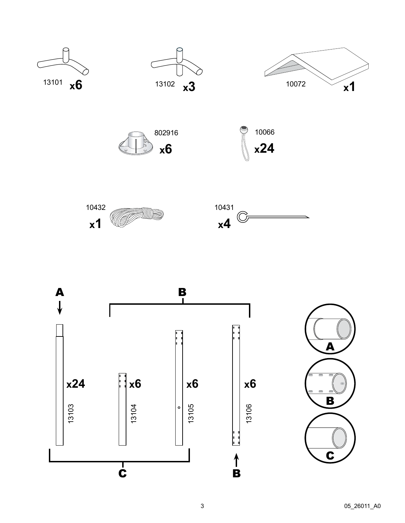

















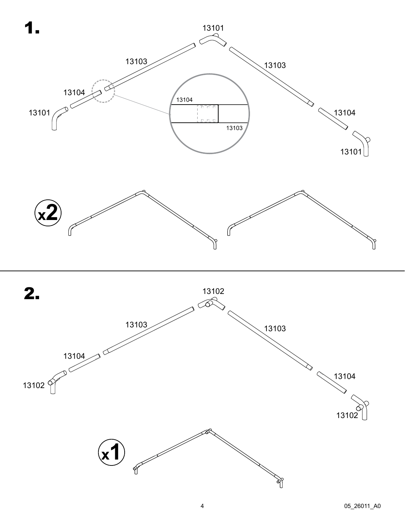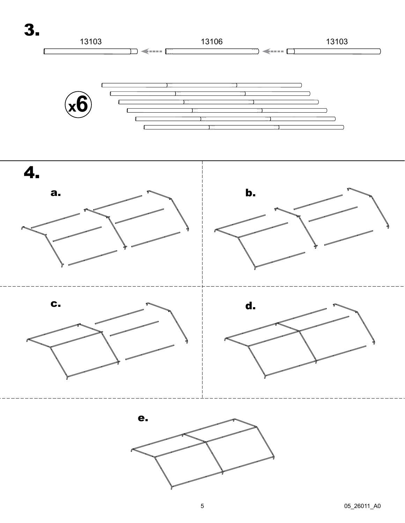

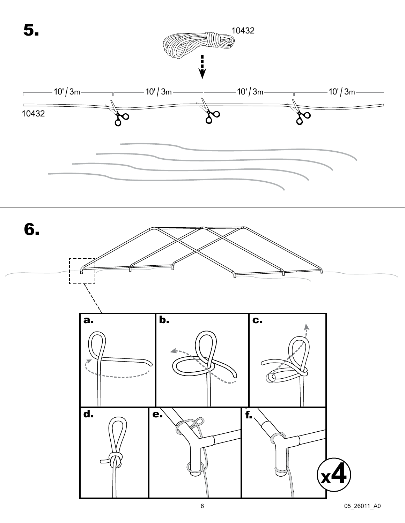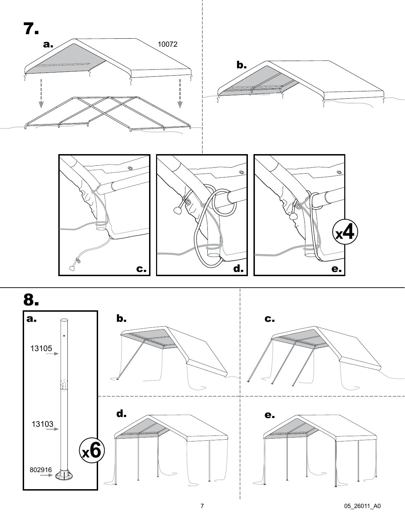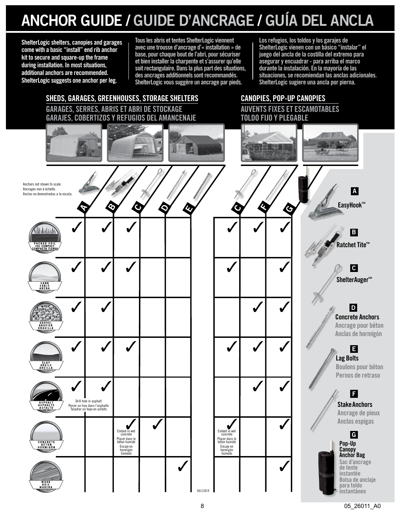# **ANCHOR GUIDE / GUIDE D'ANCRAGE / GUÍA DEL ANCLA**

**ShelterLogic shelters, canopies and garages come with a basic "install" end rib anchor kit to secure and square-up the frame during installation. In most situations, additional anchors are recommended. ShelterLogic suggests one anchor per leg.**

**Tous les abris et tentes ShelterLogic viennent avec une trousse d'ancrage d'« installation » de base, pour chaque bout de l'abri, pour sécuriser et bien installer la charpente et s'assurer qu'elle soit rectangulaire. Dans la plus part des situations, des ancrages additionnels sont recommandés. ShelterLogic vous suggère un ancrage par pieds.**

**Los refugios, los toldos y los garajes de ShelterLogic vienen con un básico "instalar" el juego del ancla de la costilla del extremo para asegurar y encuadrar - para arriba el marco durante la instalación. En la mayoría de las situaciones, se recomiendan las anclas adicionales. ShelterLogic sugiere una ancla por pierna.**

### **SHEDS, GARAGES, GREENHOUSES, STORAGE SHELTERS GARAGES, SERRES, ABRIS ET ABRI DE STOCKAGE GARAJES, COBERTIZOS Y REFUGIOS DEL AMANCENAJE**



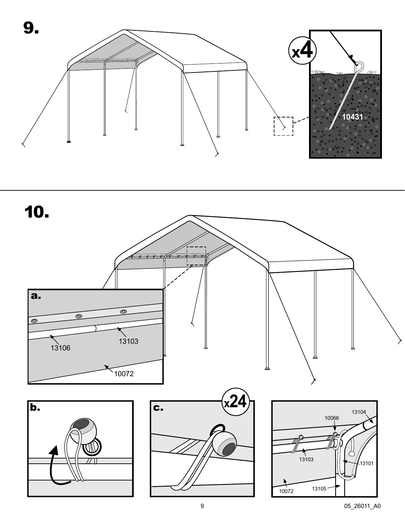